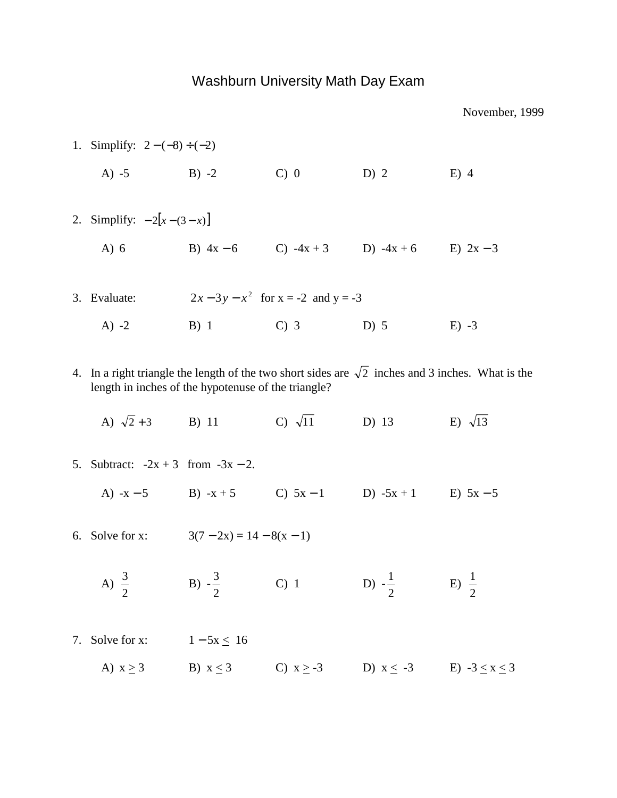## Washburn University Math Day Exam

1. Simplify:  $2 - (-8) \div (-2)$ A) -5 B) -2 C) 0 D) 2 E) 4 2. Simplify:  $-2[x-(3-x)]$ A) 6 B)  $4x - 6$  C)  $-4x + 3$  D)  $-4x + 6$  E)  $2x - 3$ 3. Evaluate:  $2x - 3y - x^2$  for  $x = -2$  and  $y = -3$ A) -2 B) 1 C) 3 D) 5 E) -3 4. In a right triangle the length of the two short sides are  $\sqrt{2}$  inches and 3 inches. What is the length in inches of the hypotenuse of the triangle? A)  $\sqrt{2}+3$  B) 11 C)  $\sqrt{11}$  D) 13 E)  $\sqrt{13}$ 5. Subtract:  $-2x + 3$  from  $-3x - 2$ . A)  $-x-5$  B)  $-x+5$  C)  $5x-1$  D)  $-5x+1$  E)  $5x-5$ 6. Solve for x:  $3(7-2x) = 14-8(x-1)$ A)  $\frac{3}{2}$  B)  $-\frac{3}{2}$  C) 1 D)  $-\frac{1}{2}$  E) 2 3 2 1 2 1 7. Solve for x:  $1 - 5x \le 16$ A)  $x \ge 3$  B)  $x \le 3$  C)  $x \ge -3$  D)  $x \le -3$  E)  $-3 \le x \le 3$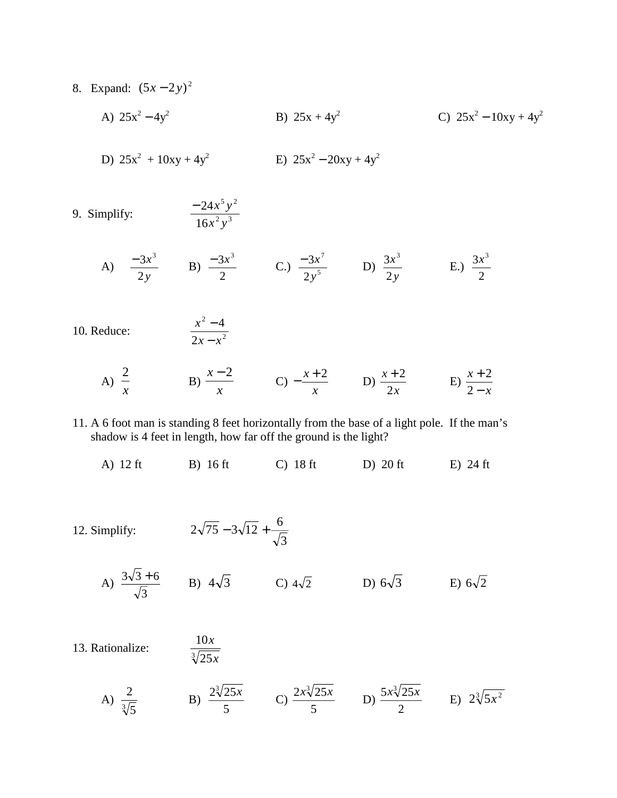- 8. Expand:  $(5x-2y)^2$ 
	- A)  $25x^2 4y^2$  B)  $25x + 4y^2$  C)  $25x^2 10xy + 4y^2$
	- D)  $25x^2 + 10xy + 4y^2$  $E)$  25x<sup>2</sup> – 20xy + 4y<sup>2</sup>
- 9. Simplify:  $5, 2$ 16 24 *x y*  $-24x^5y$ 
	- A)  $\frac{3x}{2}$  B)  $\frac{3x}{2}$  C.)  $\frac{3x}{2}$  D)  $\frac{3x}{2}$  E.) *y x* 2  $-3x^3$ 2  $-3x^3$ 5 7 2 3 *y* − *x y x* 2  $3x^3$ 2  $3x^3$
- 10. Reduce:
	- A)  $\overline{B}$  B)  $\overline{C}$  C)  $\overline{C}$  B)  $\overline{C}$  B) *x* 2 *x x* − 2  $-\frac{x+2}{x}$  D)  $\frac{x+2}{2x}$ 2 + 2 *x x* − + 2 2

11. A 6 foot man is standing 8 feet horizontally from the base of a light pole. If the man's shadow is 4 feet in length, how far off the ground is the light?

- A) 12 ft B) 16 ft C) 18 ft D) 20 ft E) 24 ft
- 12. Simplify:  $2\sqrt{75} 3\sqrt{12} + \frac{3}{\sqrt{3}}$  $2\sqrt{75} - 3\sqrt{12} + \frac{6}{7}$

 $\sqrt[3]{25}$ 10

*x x*

2

*x*

 $x - x$ 

− − 4

2

- A)  $\frac{3\sqrt{3}+6}{5}$  B)  $4\sqrt{3}$  C)  $4\sqrt{2}$  D)  $6\sqrt{3}$  E) 3  $\frac{3\sqrt{3}+6}{\sqrt{2}}$  B)  $4\sqrt{3}$  C)  $4\sqrt{2}$  D)  $6\sqrt{3}$  E)  $6\sqrt{2}$
- 13. Rationalize:
	- A)  $\frac{2}{\sqrt[3]{5}}$  B)  $\frac{2\sqrt[3]{25x}}{5}$  C)  $\frac{2x\sqrt[3]{25x}}{5}$  D)  $\frac{5x\sqrt[3]{25x}}{2}$  E) 5  $2\sqrt[3]{25x}$ 5  $2x\sqrt[3]{25x}$ 2  $\frac{5x\sqrt[3]{25x}}{2}$  E)  $2\sqrt[3]{5x^2}$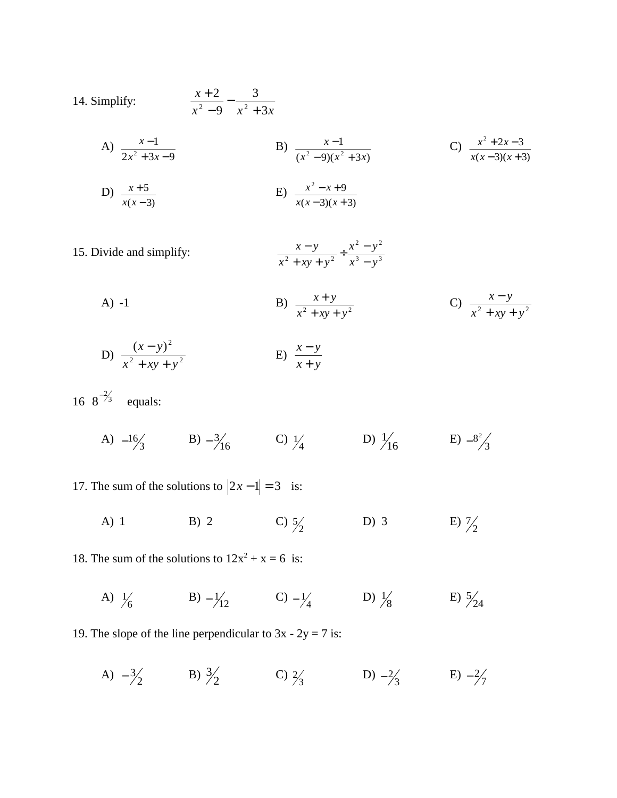14. Simplify: 
$$
\frac{x+2}{x^2-9} - \frac{3}{x^2+3x}
$$

A) 
$$
\frac{x-1}{2x^2+3x-9}
$$
  
B)  $\frac{x-1}{(x^2-9)(x^2+3x)}$   
C)  $\frac{x^2+2x-3}{x(x-3)(x+3)}$   
D)  $\frac{x+5}{x(x-3)}$   
E)  $\frac{x^2-x+9}{x(x-3)(x+3)}$ 

15. Divide and simplify:  $\frac{x-y}{x^2 + xy + y^2} \div \frac{x^2 - y^2}{x^3 - y^3}$  $x^2 + xy + y^2$   $x^3 - y^2$  $x^2 - y$  $x^2 + xy + y$ *x y*  $\frac{x-y}{+xy+y^2} \div \frac{x^2-y^2}{x^3-y^2}$ 

A) -1  
\nB) 
$$
\frac{x+y}{x^2 + xy + y^2}
$$
  
\nC)  $\frac{x-y}{x^2 + xy + y^2}$   
\nD)  $\frac{(x-y)^2}{x^2 + xy + y^2}$   
\nE)  $\frac{x-y}{x+y}$ 

16  $8^{-2/3}$  equals:

A)  $-1\frac{6}{3}$  B)  $-3\frac{3}{16}$  C)  $\frac{1}{4}$  D)  $\frac{1}{16}$  E)  $-8^{2}/3$ 

17. The sum of the solutions to  $|2x-1| = 3$  is:

A) 1 B) 2 C)  $\frac{5}{2}$  D) 3 C)  $\frac{5}{2}$  $\frac{7}{2}$ 

18. The sum of the solutions to  $12x^2 + x = 6$  is:

A)  $\frac{1}{6}$  B)  $-\frac{1}{12}$  C)  $-\frac{1}{4}$  D)  $\frac{1}{8}$  E) 1 24 5

19. The slope of the line perpendicular to  $3x - 2y = 7$  is:

A)  $-3\frac{3}{2}$  B)  $3\frac{3}{2}$  C)  $2\frac{3}{3}$  D)  $-2\frac{3}{3}$  E) 3  $2/3$  D)  $-2/3$  E)  $-2/7$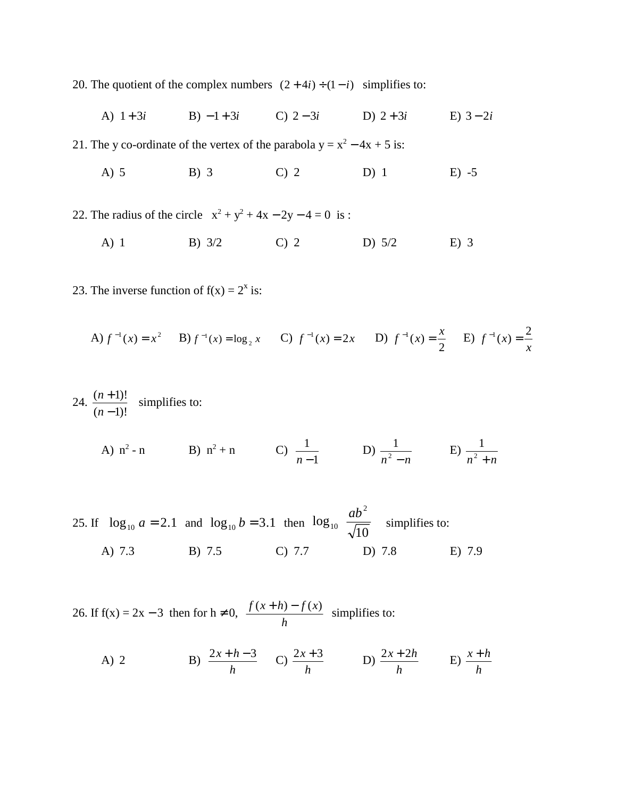20. The quotient of the complex numbers  $(2 + 4i) \div (1 - i)$  simplifies to:

A) 1 + 3*i* B) − 1 + 3*i* C) 2 − 3*i* D) 2 + 3*i* E) 3 − 2*i* 

21. The y co-ordinate of the vertex of the parabola  $y = x^2 - 4x + 5$  is:

A) 5 B) 3 C) 2 D) 1 E) -5

22. The radius of the circle  $x^2 + y^2 + 4x - 2y - 4 = 0$  is :

- A) 1 B) 3/2 C) 2 D) 5/2 E) 3
- 23. The inverse function of  $f(x) = 2^x$  is:

A) 
$$
f^{-1}(x) = x^2
$$
 B)  $f^{-1}(x) = \log_2 x$  C)  $f^{-1}(x) = 2x$  D)  $f^{-1}(x) = \frac{x}{2}$  E)  $f^{-1}(x) = \frac{2}{x}$ 

 $n-1$   $n^2 - n$ 

 $n^2 + n$ 

24. 
$$
\frac{(n+1)!}{(n-1)!}
$$
 simplifies to:  
A) n<sup>2</sup> - n  
B) n<sup>2</sup> + n  
C)  $\frac{1}{n-1}$   
D)  $\frac{1}{n^2 - n}$   
E)  $\frac{1}{n^2 + n}$ 

25. If  $\log_{10} a = 2.1$  and  $\log_{10} b = 3.1$  then  $\log_{10} \left| \frac{ab}{\sqrt{10}} \right|$  simplifies to:  $\overline{\phantom{a}}$  $\overline{\phantom{a}}$ I l ſ  $\log_{10} \frac{uv}{\sqrt{10}}$ 2 10 *ab* A) 7.3 B) 7.5 C) 7.7 D) 7.8 E) 7.9

26. If  $f(x) = 2x - 3$  then for  $h \ne 0$ ,  $\frac{f(x+h) - f(x)}{h}$  simplifies to:

A) 2  
B) 
$$
\frac{2x+h-3}{h}
$$
  
C)  $\frac{2x+3}{h}$   
D)  $\frac{2x+2h}{h}$   
E)  $\frac{x+h}{h}$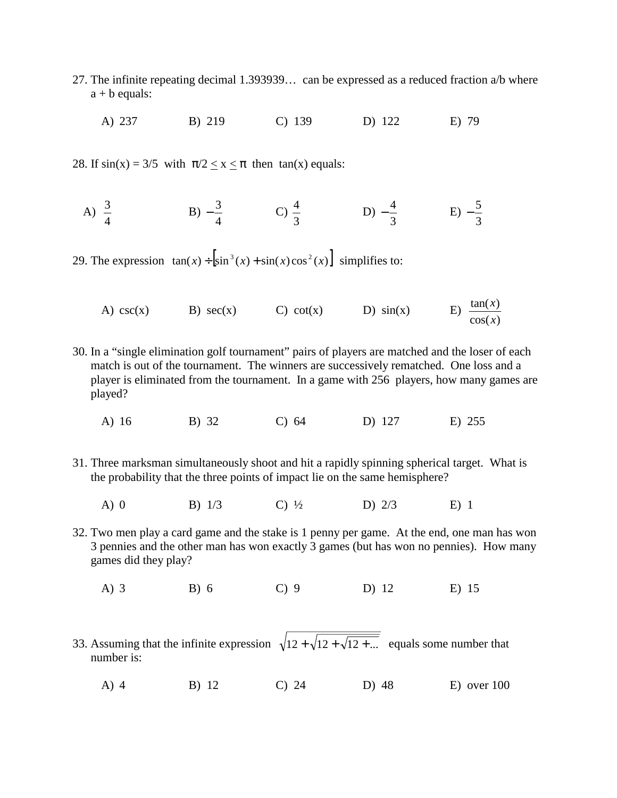- 27. The infinite repeating decimal 1.393939… can be expressed as a reduced fraction a/b where  $a + b$  equals:
	- A) 237 B) 219 C) 139 D) 122 E) 79

28. If  $sin(x) = 3/5$  with  $\pi/2 < x < \pi$  then  $tan(x)$  equals:

A)  $\frac{3}{4}$  B)  $-\frac{3}{4}$  C)  $\frac{4}{3}$  D)  $-\frac{4}{3}$  E)  $-\frac{3}{4}$  C)  $\frac{4}{3}$  $-\frac{4}{3}$  E)  $-\frac{5}{3}$ 

29. The expression  $tan(x) \div \left| sin^3(x) + sin(x) cos^2(x) \right|$  simplifies to:

- A) csc(x) B) sec(x) C) cot(x) D) sin(x) E)  $\frac{\tan(x)}{\cos(x)}$ *x x*
- 30. In a "single elimination golf tournament" pairs of players are matched and the loser of each match is out of the tournament. The winners are successively rematched. One loss and a player is eliminated from the tournament. In a game with 256 players, how many games are played?
	- A) 16 B) 32 C) 64 D) 127 E) 255
- 31. Three marksman simultaneously shoot and hit a rapidly spinning spherical target. What is the probability that the three points of impact lie on the same hemisphere?
	- A) 0 B)  $1/3$  C)  $\frac{1}{2}$  D)  $2/3$  E) 1
- 32. Two men play a card game and the stake is 1 penny per game. At the end, one man has won 3 pennies and the other man has won exactly 3 games (but has won no pennies). How many games did they play?
	- A) 3 B) 6 C) 9 D) 12 E) 15
- 33. Assuming that the infinite expression  $\sqrt{12 + \sqrt{12 + \sqrt{12 + \dots}}}$  equals some number that number is:
	- A) 4 B) 12 C) 24 D) 48 E) over 100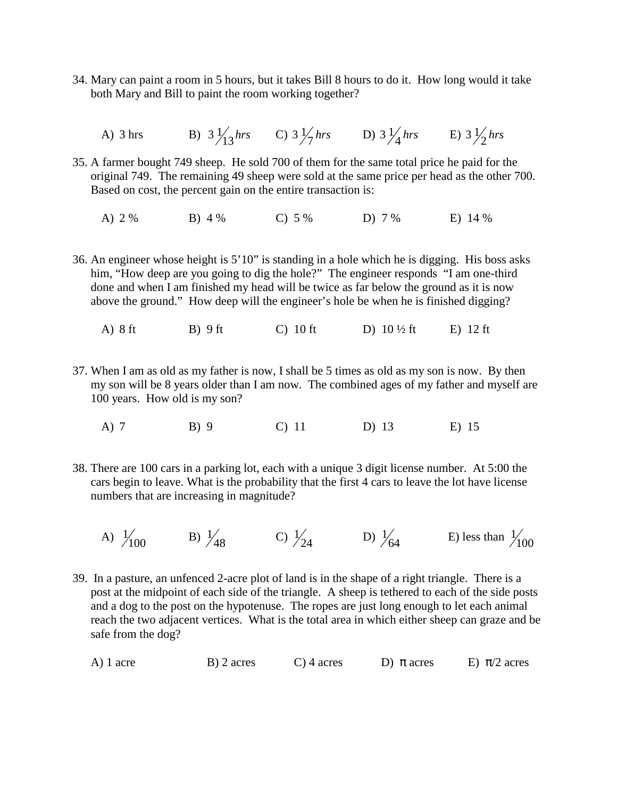- 34. Mary can paint a room in 5 hours, but it takes Bill 8 hours to do it. How long would it take both Mary and Bill to paint the room working together?
	- A) 3 hrs B)  $3\frac{1}{13}$  hrs C)  $3\frac{1}{7}$  hrs D)  $3\frac{1}{4}$  hrs E)  $3\frac{1}{2}$  hrs
- 35. A farmer bought 749 sheep. He sold 700 of them for the same total price he paid for the original 749. The remaining 49 sheep were sold at the same price per head as the other 700. Based on cost, the percent gain on the entire transaction is:
	- A) 2 % B) 4 % C) 5 % D) 7 % E) 14 %
- 36. An engineer whose height is 5'10" is standing in a hole which he is digging. His boss asks him, "How deep are you going to dig the hole?" The engineer responds "I am one-third done and when I am finished my head will be twice as far below the ground as it is now above the ground." How deep will the engineer's hole be when he is finished digging?
	- A) 8 ft B) 9 ft C) 10 ft D)  $10\frac{1}{2}$  ft E) 12 ft
- 37. When I am as old as my father is now, I shall be 5 times as old as my son is now. By then my son will be 8 years older than I am now. The combined ages of my father and myself are 100 years. How old is my son?
	- A) 7 B) 9 C) 11 D) 13 E) 15
- 38. There are 100 cars in a parking lot, each with a unique 3 digit license number. At 5:00 the cars begin to leave. What is the probability that the first 4 cars to leave the lot have license numbers that are increasing in magnitude?
	- A)  $\frac{1}{100}$  B)  $\frac{1}{48}$  C)  $\frac{1}{24}$  D)  $\frac{1}{64}$  E) less than 48 1 24 1 64 1 100 1
- 39. In a pasture, an unfenced 2-acre plot of land is in the shape of a right triangle. There is a post at the midpoint of each side of the triangle. A sheep is tethered to each of the side posts and a dog to the post on the hypotenuse. The ropes are just long enough to let each animal reach the two adjacent vertices. What is the total area in which either sheep can graze and be safe from the dog?

|  | $A)$ 1 acre | B) 2 acres | $C$ ) 4 acres | D) $\pi$ acres | E) $\pi/2$ acres |
|--|-------------|------------|---------------|----------------|------------------|
|--|-------------|------------|---------------|----------------|------------------|